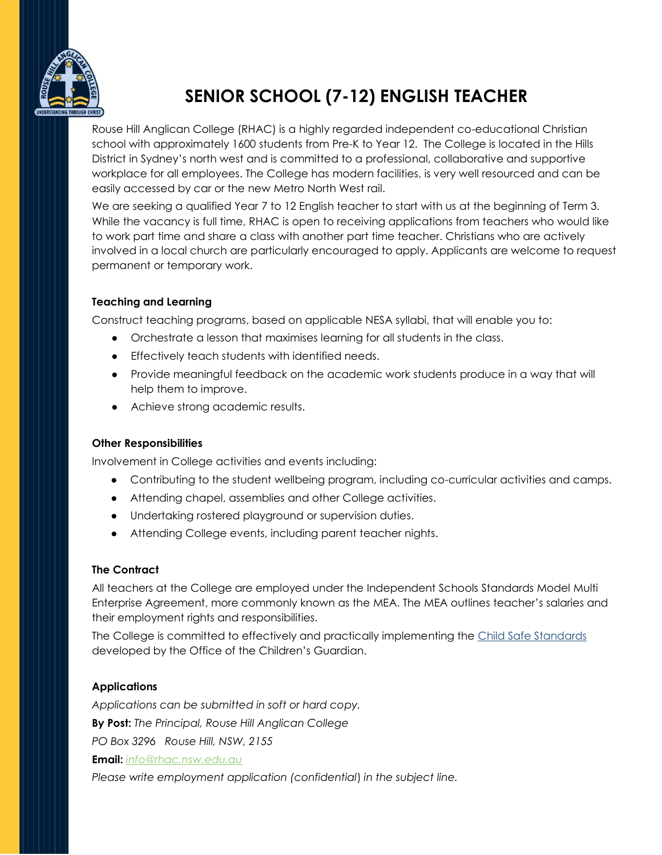

# **SENIOR SCHOOL (7-12) ENGLISH TEACHER**

Rouse Hill Anglican College (RHAC) is a highly regarded independent co-educational Christian school with approximately 1600 students from Pre-K to Year 12. The College is located in the Hills District in Sydney's north west and is committed to a professional, collaborative and supportive workplace for all employees. The College has modern facilities, is very well resourced and can be easily accessed by car or the new Metro North West rail.

We are seeking a qualified Year 7 to 12 English teacher to start with us at the beginning of Term 3. While the vacancy is full time, RHAC is open to receiving applications from teachers who would like to work part time and share a class with another part time teacher. Christians who are actively involved in a local church are particularly encouraged to apply. Applicants are welcome to request permanent or temporary work.

#### **Teaching and Learning**

Construct teaching programs, based on applicable NESA syllabi, that will enable you to:

- Orchestrate a lesson that maximises learning for all students in the class.
- Effectively teach students with identified needs.
- Provide meaningful feedback on the academic work students produce in a way that will help them to improve.
- Achieve strong academic results.

#### **Other Responsibilities**

Involvement in College activities and events including:

- Contributing to the student wellbeing program, including co-curricular activities and camps.
- Attending chapel, assemblies and other College activities.
- Undertaking rostered playground or supervision duties.
- Attending College events, including parent teacher nights.

## **The Contract**

All teachers at the College are employed under the Independent Schools Standards Model Multi Enterprise Agreement, more commonly known as the MEA. The MEA outlines teacher's salaries and their employment rights and responsibilities.

The College is committed to effectively and practically implementing the [Child Safe Standards](https://ocg.nsw.gov.au/sites/default/files/2021-12/g_CSS_GuidetotheStandards.pdf?Embed=Y) developed by the Office of the Children's Guardian.

## **Applications**

*Applications can be submitted in soft or hard copy.* **By Post:** *The Principal, Rouse Hill Anglican College PO Box 3296 Rouse Hill, NSW, 2155* **Email:** *[info@rhac.nsw.edu.au](mailto:info@rhac.nsw.edu.au)*

*Please write employment application (confidential*) *in the subject line.*